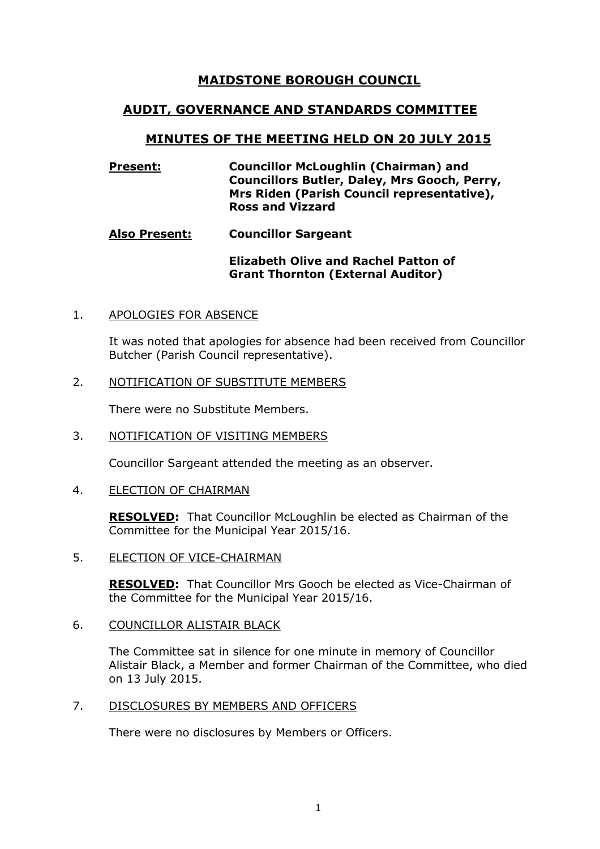# **MAIDSTONE BOROUGH COUNCIL**

# **AUDIT, GOVERNANCE AND STANDARDS COMMITTEE**

# **MINUTES OF THE MEETING HELD ON 20 JULY 2015**

## **Present: Councillor McLoughlin (Chairman) and Councillors Butler, Daley, Mrs Gooch, Perry, Mrs Riden (Parish Council representative), Ross and Vizzard**

## **Also Present: Councillor Sargeant**

## **Elizabeth Olive and Rachel Patton of Grant Thornton (External Auditor)**

## 1. APOLOGIES FOR ABSENCE

It was noted that apologies for absence had been received from Councillor Butcher (Parish Council representative).

#### 2. NOTIFICATION OF SUBSTITUTE MEMBERS

There were no Substitute Members.

#### 3. NOTIFICATION OF VISITING MEMBERS

Councillor Sargeant attended the meeting as an observer.

#### 4. ELECTION OF CHAIRMAN

**RESOLVED:** That Councillor McLoughlin be elected as Chairman of the Committee for the Municipal Year 2015/16.

#### 5. ELECTION OF VICE-CHAIRMAN

**RESOLVED:** That Councillor Mrs Gooch be elected as Vice-Chairman of the Committee for the Municipal Year 2015/16.

## 6. COUNCILLOR ALISTAIR BLACK

The Committee sat in silence for one minute in memory of Councillor Alistair Black, a Member and former Chairman of the Committee, who died on 13 July 2015.

#### 7. DISCLOSURES BY MEMBERS AND OFFICERS

There were no disclosures by Members or Officers.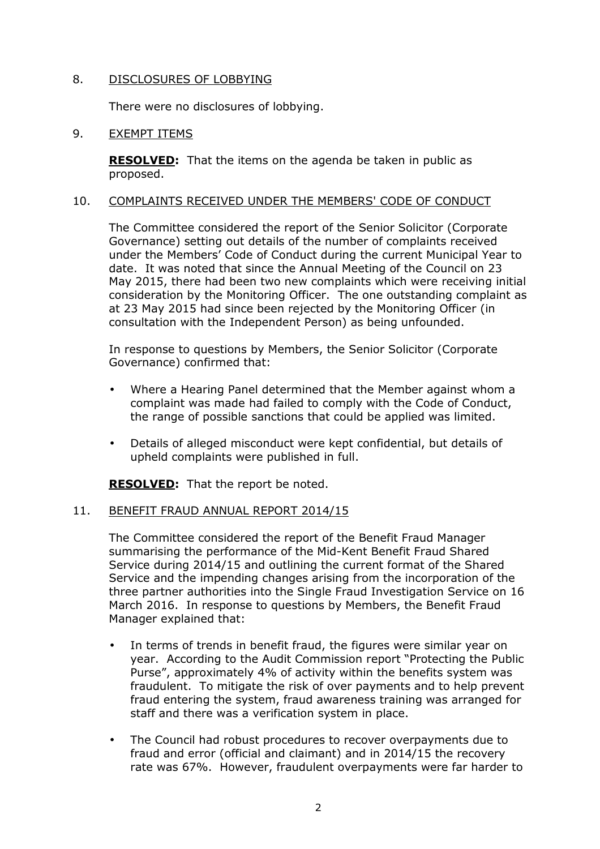### 8. DISCLOSURES OF LOBBYING

There were no disclosures of lobbying.

### 9. EXEMPT ITEMS

**RESOLVED:** That the items on the agenda be taken in public as proposed.

#### 10. COMPLAINTS RECEIVED UNDER THE MEMBERS' CODE OF CONDUCT

The Committee considered the report of the Senior Solicitor (Corporate Governance) setting out details of the number of complaints received under the Members' Code of Conduct during the current Municipal Year to date. It was noted that since the Annual Meeting of the Council on 23 May 2015, there had been two new complaints which were receiving initial consideration by the Monitoring Officer. The one outstanding complaint as at 23 May 2015 had since been rejected by the Monitoring Officer (in consultation with the Independent Person) as being unfounded.

In response to questions by Members, the Senior Solicitor (Corporate Governance) confirmed that:

- Where a Hearing Panel determined that the Member against whom a complaint was made had failed to comply with the Code of Conduct, the range of possible sanctions that could be applied was limited.
- Details of alleged misconduct were kept confidential, but details of upheld complaints were published in full.

**RESOLVED:** That the report be noted.

#### 11. BENEFIT FRAUD ANNUAL REPORT 2014/15

The Committee considered the report of the Benefit Fraud Manager summarising the performance of the Mid-Kent Benefit Fraud Shared Service during 2014/15 and outlining the current format of the Shared Service and the impending changes arising from the incorporation of the three partner authorities into the Single Fraud Investigation Service on 16 March 2016. In response to questions by Members, the Benefit Fraud Manager explained that:

- In terms of trends in benefit fraud, the figures were similar year on year. According to the Audit Commission report "Protecting the Public Purse", approximately 4% of activity within the benefits system was fraudulent. To mitigate the risk of over payments and to help prevent fraud entering the system, fraud awareness training was arranged for staff and there was a verification system in place.
- The Council had robust procedures to recover overpayments due to fraud and error (official and claimant) and in 2014/15 the recovery rate was 67%. However, fraudulent overpayments were far harder to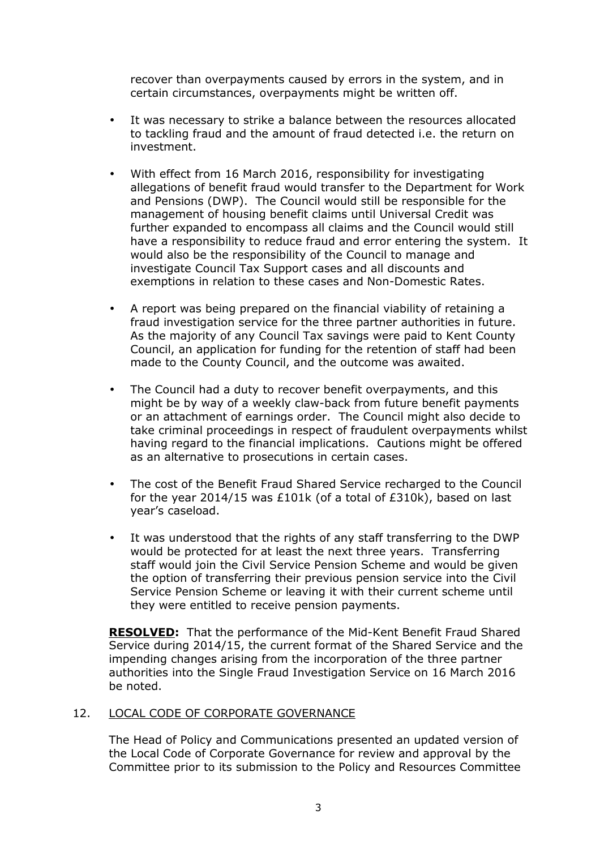recover than overpayments caused by errors in the system, and in certain circumstances, overpayments might be written off.

- It was necessary to strike a balance between the resources allocated to tackling fraud and the amount of fraud detected i.e. the return on investment.
- With effect from 16 March 2016, responsibility for investigating allegations of benefit fraud would transfer to the Department for Work and Pensions (DWP). The Council would still be responsible for the management of housing benefit claims until Universal Credit was further expanded to encompass all claims and the Council would still have a responsibility to reduce fraud and error entering the system. It would also be the responsibility of the Council to manage and investigate Council Tax Support cases and all discounts and exemptions in relation to these cases and Non-Domestic Rates.
- A report was being prepared on the financial viability of retaining a fraud investigation service for the three partner authorities in future. As the majority of any Council Tax savings were paid to Kent County Council, an application for funding for the retention of staff had been made to the County Council, and the outcome was awaited.
- The Council had a duty to recover benefit overpayments, and this might be by way of a weekly claw-back from future benefit payments or an attachment of earnings order. The Council might also decide to take criminal proceedings in respect of fraudulent overpayments whilst having regard to the financial implications. Cautions might be offered as an alternative to prosecutions in certain cases.
- The cost of the Benefit Fraud Shared Service recharged to the Council for the year 2014/15 was £101k (of a total of £310k), based on last year's caseload.
- It was understood that the rights of any staff transferring to the DWP would be protected for at least the next three years. Transferring staff would join the Civil Service Pension Scheme and would be given the option of transferring their previous pension service into the Civil Service Pension Scheme or leaving it with their current scheme until they were entitled to receive pension payments.

**RESOLVED:** That the performance of the Mid-Kent Benefit Fraud Shared Service during 2014/15, the current format of the Shared Service and the impending changes arising from the incorporation of the three partner authorities into the Single Fraud Investigation Service on 16 March 2016 be noted.

# 12. LOCAL CODE OF CORPORATE GOVERNANCE

The Head of Policy and Communications presented an updated version of the Local Code of Corporate Governance for review and approval by the Committee prior to its submission to the Policy and Resources Committee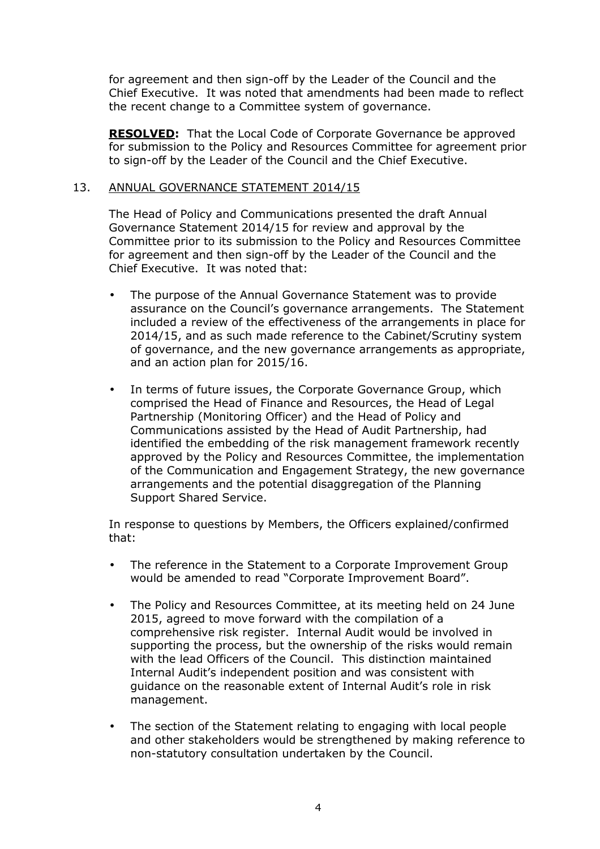for agreement and then sign-off by the Leader of the Council and the Chief Executive. It was noted that amendments had been made to reflect the recent change to a Committee system of governance.

**RESOLVED:** That the Local Code of Corporate Governance be approved for submission to the Policy and Resources Committee for agreement prior to sign-off by the Leader of the Council and the Chief Executive.

## 13. ANNUAL GOVERNANCE STATEMENT 2014/15

The Head of Policy and Communications presented the draft Annual Governance Statement 2014/15 for review and approval by the Committee prior to its submission to the Policy and Resources Committee for agreement and then sign-off by the Leader of the Council and the Chief Executive. It was noted that:

- The purpose of the Annual Governance Statement was to provide assurance on the Council's governance arrangements. The Statement included a review of the effectiveness of the arrangements in place for 2014/15, and as such made reference to the Cabinet/Scrutiny system of governance, and the new governance arrangements as appropriate, and an action plan for 2015/16.
- In terms of future issues, the Corporate Governance Group, which comprised the Head of Finance and Resources, the Head of Legal Partnership (Monitoring Officer) and the Head of Policy and Communications assisted by the Head of Audit Partnership, had identified the embedding of the risk management framework recently approved by the Policy and Resources Committee, the implementation of the Communication and Engagement Strategy, the new governance arrangements and the potential disaggregation of the Planning Support Shared Service.

In response to questions by Members, the Officers explained/confirmed that:

- The reference in the Statement to a Corporate Improvement Group would be amended to read "Corporate Improvement Board".
- The Policy and Resources Committee, at its meeting held on 24 June 2015, agreed to move forward with the compilation of a comprehensive risk register. Internal Audit would be involved in supporting the process, but the ownership of the risks would remain with the lead Officers of the Council. This distinction maintained Internal Audit's independent position and was consistent with guidance on the reasonable extent of Internal Audit's role in risk management.
- The section of the Statement relating to engaging with local people and other stakeholders would be strengthened by making reference to non-statutory consultation undertaken by the Council.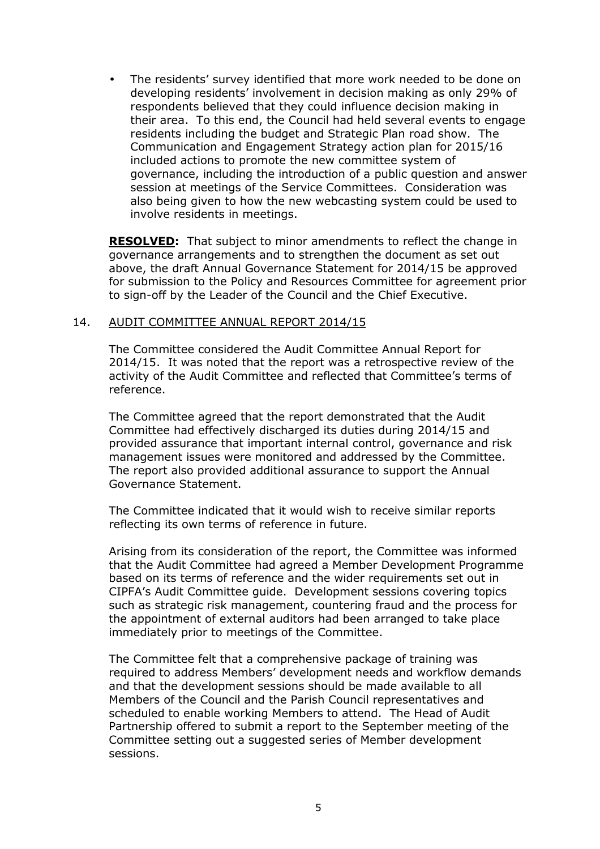• The residents' survey identified that more work needed to be done on developing residents' involvement in decision making as only 29% of respondents believed that they could influence decision making in their area. To this end, the Council had held several events to engage residents including the budget and Strategic Plan road show. The Communication and Engagement Strategy action plan for 2015/16 included actions to promote the new committee system of governance, including the introduction of a public question and answer session at meetings of the Service Committees. Consideration was also being given to how the new webcasting system could be used to involve residents in meetings.

**RESOLVED:** That subject to minor amendments to reflect the change in governance arrangements and to strengthen the document as set out above, the draft Annual Governance Statement for 2014/15 be approved for submission to the Policy and Resources Committee for agreement prior to sign-off by the Leader of the Council and the Chief Executive.

#### 14. AUDIT COMMITTEE ANNUAL REPORT 2014/15

The Committee considered the Audit Committee Annual Report for 2014/15. It was noted that the report was a retrospective review of the activity of the Audit Committee and reflected that Committee's terms of reference.

The Committee agreed that the report demonstrated that the Audit Committee had effectively discharged its duties during 2014/15 and provided assurance that important internal control, governance and risk management issues were monitored and addressed by the Committee. The report also provided additional assurance to support the Annual Governance Statement.

The Committee indicated that it would wish to receive similar reports reflecting its own terms of reference in future.

Arising from its consideration of the report, the Committee was informed that the Audit Committee had agreed a Member Development Programme based on its terms of reference and the wider requirements set out in CIPFA's Audit Committee guide. Development sessions covering topics such as strategic risk management, countering fraud and the process for the appointment of external auditors had been arranged to take place immediately prior to meetings of the Committee.

The Committee felt that a comprehensive package of training was required to address Members' development needs and workflow demands and that the development sessions should be made available to all Members of the Council and the Parish Council representatives and scheduled to enable working Members to attend. The Head of Audit Partnership offered to submit a report to the September meeting of the Committee setting out a suggested series of Member development sessions.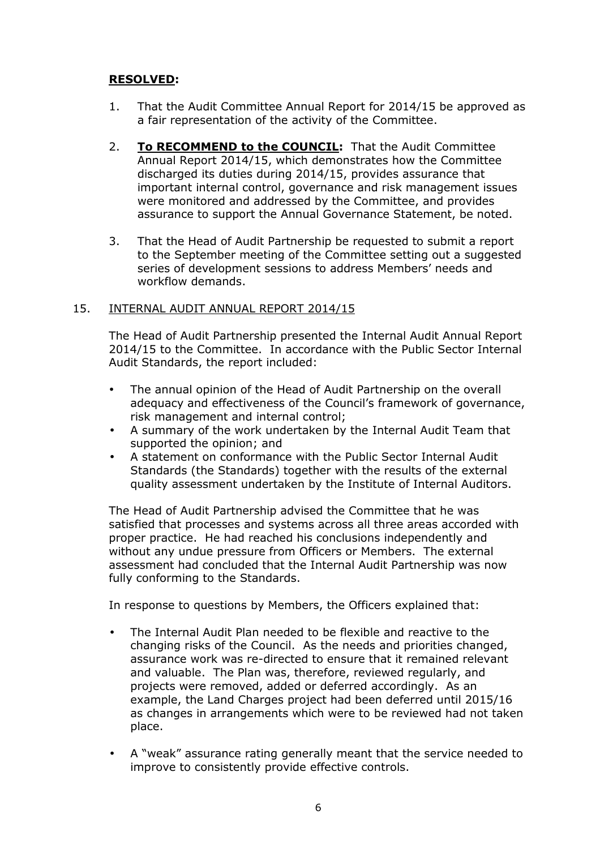# **RESOLVED:**

- 1. That the Audit Committee Annual Report for 2014/15 be approved as a fair representation of the activity of the Committee.
- 2. **To RECOMMEND to the COUNCIL:** That the Audit Committee Annual Report 2014/15, which demonstrates how the Committee discharged its duties during 2014/15, provides assurance that important internal control, governance and risk management issues were monitored and addressed by the Committee, and provides assurance to support the Annual Governance Statement, be noted.
- 3. That the Head of Audit Partnership be requested to submit a report to the September meeting of the Committee setting out a suggested series of development sessions to address Members' needs and workflow demands.

# 15. INTERNAL AUDIT ANNUAL REPORT 2014/15

The Head of Audit Partnership presented the Internal Audit Annual Report 2014/15 to the Committee. In accordance with the Public Sector Internal Audit Standards, the report included:

- The annual opinion of the Head of Audit Partnership on the overall adequacy and effectiveness of the Council's framework of governance, risk management and internal control;
- A summary of the work undertaken by the Internal Audit Team that supported the opinion; and
- A statement on conformance with the Public Sector Internal Audit Standards (the Standards) together with the results of the external quality assessment undertaken by the Institute of Internal Auditors.

The Head of Audit Partnership advised the Committee that he was satisfied that processes and systems across all three areas accorded with proper practice. He had reached his conclusions independently and without any undue pressure from Officers or Members. The external assessment had concluded that the Internal Audit Partnership was now fully conforming to the Standards.

In response to questions by Members, the Officers explained that:

- The Internal Audit Plan needed to be flexible and reactive to the changing risks of the Council. As the needs and priorities changed, assurance work was re-directed to ensure that it remained relevant and valuable. The Plan was, therefore, reviewed regularly, and projects were removed, added or deferred accordingly. As an example, the Land Charges project had been deferred until 2015/16 as changes in arrangements which were to be reviewed had not taken place.
- A "weak" assurance rating generally meant that the service needed to improve to consistently provide effective controls.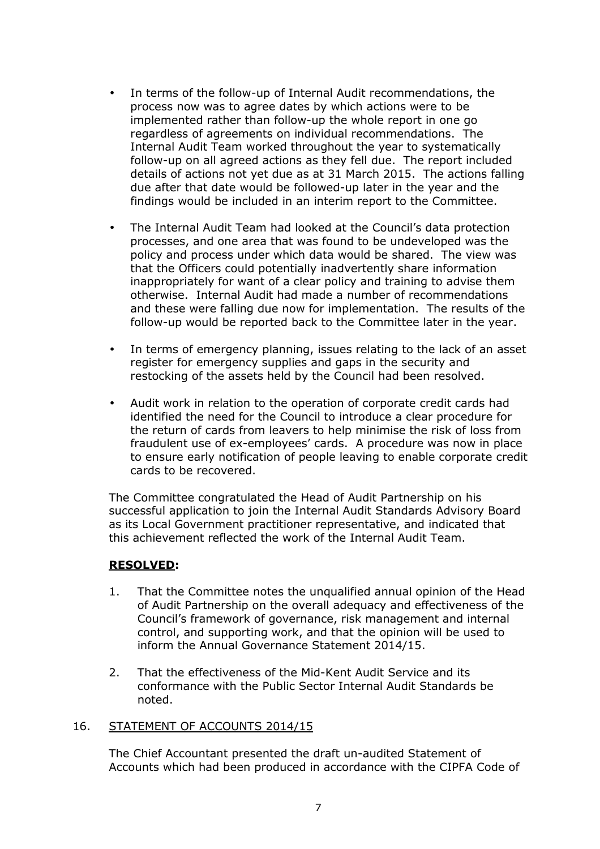- In terms of the follow-up of Internal Audit recommendations, the process now was to agree dates by which actions were to be implemented rather than follow-up the whole report in one go regardless of agreements on individual recommendations. The Internal Audit Team worked throughout the year to systematically follow-up on all agreed actions as they fell due. The report included details of actions not yet due as at 31 March 2015. The actions falling due after that date would be followed-up later in the year and the findings would be included in an interim report to the Committee.
- The Internal Audit Team had looked at the Council's data protection processes, and one area that was found to be undeveloped was the policy and process under which data would be shared. The view was that the Officers could potentially inadvertently share information inappropriately for want of a clear policy and training to advise them otherwise. Internal Audit had made a number of recommendations and these were falling due now for implementation. The results of the follow-up would be reported back to the Committee later in the year.
- In terms of emergency planning, issues relating to the lack of an asset register for emergency supplies and gaps in the security and restocking of the assets held by the Council had been resolved.
- Audit work in relation to the operation of corporate credit cards had identified the need for the Council to introduce a clear procedure for the return of cards from leavers to help minimise the risk of loss from fraudulent use of ex-employees' cards. A procedure was now in place to ensure early notification of people leaving to enable corporate credit cards to be recovered.

The Committee congratulated the Head of Audit Partnership on his successful application to join the Internal Audit Standards Advisory Board as its Local Government practitioner representative, and indicated that this achievement reflected the work of the Internal Audit Team.

# **RESOLVED:**

- 1. That the Committee notes the unqualified annual opinion of the Head of Audit Partnership on the overall adequacy and effectiveness of the Council's framework of governance, risk management and internal control, and supporting work, and that the opinion will be used to inform the Annual Governance Statement 2014/15.
- 2. That the effectiveness of the Mid-Kent Audit Service and its conformance with the Public Sector Internal Audit Standards be noted.

#### 16. STATEMENT OF ACCOUNTS 2014/15

The Chief Accountant presented the draft un-audited Statement of Accounts which had been produced in accordance with the CIPFA Code of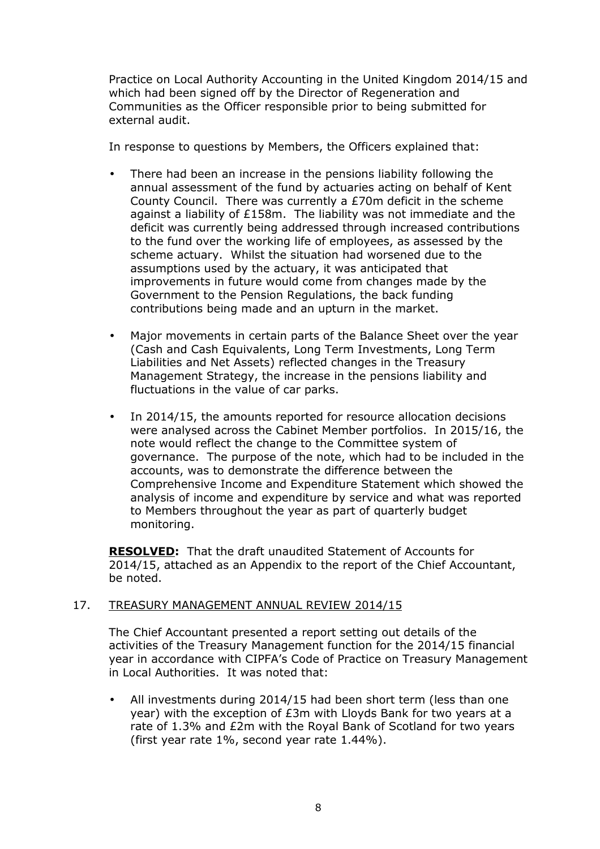Practice on Local Authority Accounting in the United Kingdom 2014/15 and which had been signed off by the Director of Regeneration and Communities as the Officer responsible prior to being submitted for external audit.

In response to questions by Members, the Officers explained that:

- There had been an increase in the pensions liability following the annual assessment of the fund by actuaries acting on behalf of Kent County Council. There was currently a £70m deficit in the scheme against a liability of £158m. The liability was not immediate and the deficit was currently being addressed through increased contributions to the fund over the working life of employees, as assessed by the scheme actuary. Whilst the situation had worsened due to the assumptions used by the actuary, it was anticipated that improvements in future would come from changes made by the Government to the Pension Regulations, the back funding contributions being made and an upturn in the market.
- Major movements in certain parts of the Balance Sheet over the year (Cash and Cash Equivalents, Long Term Investments, Long Term Liabilities and Net Assets) reflected changes in the Treasury Management Strategy, the increase in the pensions liability and fluctuations in the value of car parks.
- In 2014/15, the amounts reported for resource allocation decisions were analysed across the Cabinet Member portfolios. In 2015/16, the note would reflect the change to the Committee system of governance. The purpose of the note, which had to be included in the accounts, was to demonstrate the difference between the Comprehensive Income and Expenditure Statement which showed the analysis of income and expenditure by service and what was reported to Members throughout the year as part of quarterly budget monitoring.

**RESOLVED:** That the draft unaudited Statement of Accounts for 2014/15, attached as an Appendix to the report of the Chief Accountant, be noted.

# 17. TREASURY MANAGEMENT ANNUAL REVIEW 2014/15

The Chief Accountant presented a report setting out details of the activities of the Treasury Management function for the 2014/15 financial year in accordance with CIPFA's Code of Practice on Treasury Management in Local Authorities. It was noted that:

All investments during 2014/15 had been short term (less than one year) with the exception of £3m with Lloyds Bank for two years at a rate of 1.3% and £2m with the Royal Bank of Scotland for two years (first year rate 1%, second year rate 1.44%).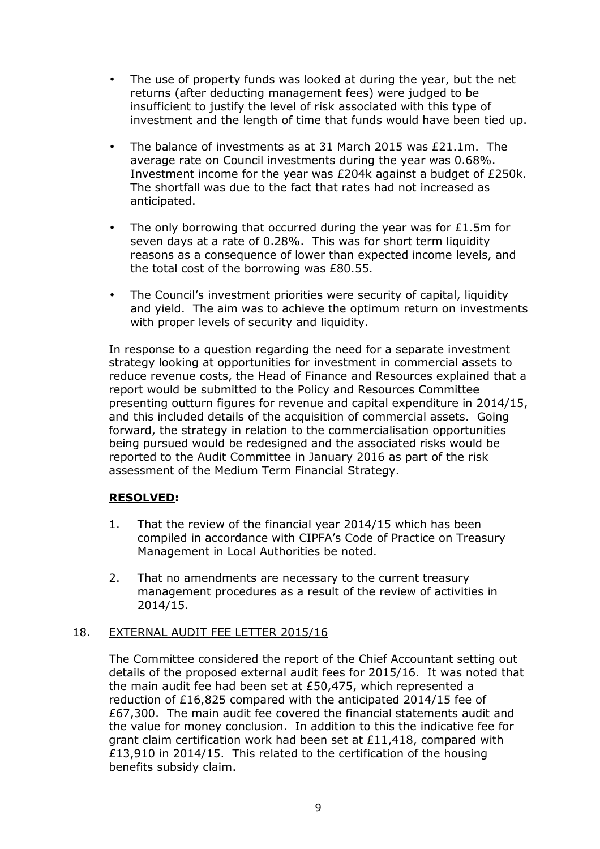- The use of property funds was looked at during the year, but the net returns (after deducting management fees) were judged to be insufficient to justify the level of risk associated with this type of investment and the length of time that funds would have been tied up.
- The balance of investments as at 31 March 2015 was £21.1m. The average rate on Council investments during the year was 0.68%. Investment income for the year was £204k against a budget of £250k. The shortfall was due to the fact that rates had not increased as anticipated.
- The only borrowing that occurred during the year was for  $£1.5m$  for seven days at a rate of 0.28%. This was for short term liquidity reasons as a consequence of lower than expected income levels, and the total cost of the borrowing was £80.55.
- The Council's investment priorities were security of capital, liquidity and yield. The aim was to achieve the optimum return on investments with proper levels of security and liquidity.

In response to a question regarding the need for a separate investment strategy looking at opportunities for investment in commercial assets to reduce revenue costs, the Head of Finance and Resources explained that a report would be submitted to the Policy and Resources Committee presenting outturn figures for revenue and capital expenditure in 2014/15, and this included details of the acquisition of commercial assets. Going forward, the strategy in relation to the commercialisation opportunities being pursued would be redesigned and the associated risks would be reported to the Audit Committee in January 2016 as part of the risk assessment of the Medium Term Financial Strategy.

# **RESOLVED:**

- 1. That the review of the financial year 2014/15 which has been compiled in accordance with CIPFA's Code of Practice on Treasury Management in Local Authorities be noted.
- 2. That no amendments are necessary to the current treasury management procedures as a result of the review of activities in 2014/15.

# 18. EXTERNAL AUDIT FEE LETTER 2015/16

The Committee considered the report of the Chief Accountant setting out details of the proposed external audit fees for 2015/16. It was noted that the main audit fee had been set at £50,475, which represented a reduction of £16,825 compared with the anticipated 2014/15 fee of £67,300. The main audit fee covered the financial statements audit and the value for money conclusion. In addition to this the indicative fee for grant claim certification work had been set at £11,418, compared with £13,910 in 2014/15. This related to the certification of the housing benefits subsidy claim.